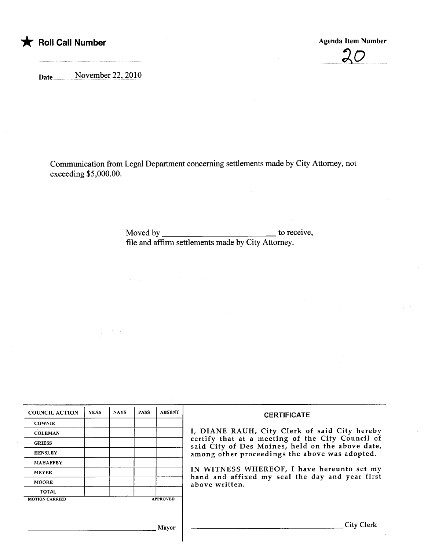

 $20$ 

Date.H..H. .H......HNQyt-i.nt-:r7.7.'-.7.Q1.Q

Communication from Legal Department concerning settlements made by City Attorney, not exceeding \$5,000.00.

> Moved by to receive, fie and affirm settlements made by City Attorney.

| <b>COUNCIL ACTION</b> | <b>YEAS</b> | <b>NAYS</b> | <b>PASS</b> | <b>ABSENT</b>   | <b>CERTIFICATE</b>                                                                                                                                                                                      |
|-----------------------|-------------|-------------|-------------|-----------------|---------------------------------------------------------------------------------------------------------------------------------------------------------------------------------------------------------|
| <b>COWNIE</b>         |             |             |             |                 |                                                                                                                                                                                                         |
| <b>COLEMAN</b>        |             |             |             |                 | I, DIANE RAUH, City Clerk of said City hereby<br>certify that at a meeting of the City Council of<br>said City of Des Moines, held on the above date,<br>among other proceedings the above was adopted. |
| <b>GRIESS</b>         |             |             |             |                 |                                                                                                                                                                                                         |
| <b>HENSLEY</b>        |             |             |             |                 |                                                                                                                                                                                                         |
| <b>MAHAFFEY</b>       |             |             |             |                 |                                                                                                                                                                                                         |
| <b>MEYER</b>          |             |             |             |                 | IN WITNESS WHEREOF, I have hereunto set my<br>hand and affixed my seal the day and year first<br>above written.                                                                                         |
| <b>MOORE</b>          |             |             |             |                 |                                                                                                                                                                                                         |
| <b>TOTAL</b>          |             |             |             |                 |                                                                                                                                                                                                         |
| <b>MOTION CARRIED</b> |             |             |             | <b>APPROVED</b> |                                                                                                                                                                                                         |
|                       |             |             |             |                 |                                                                                                                                                                                                         |
|                       |             |             |             |                 |                                                                                                                                                                                                         |
|                       |             |             |             | Mayor           | City Clerk                                                                                                                                                                                              |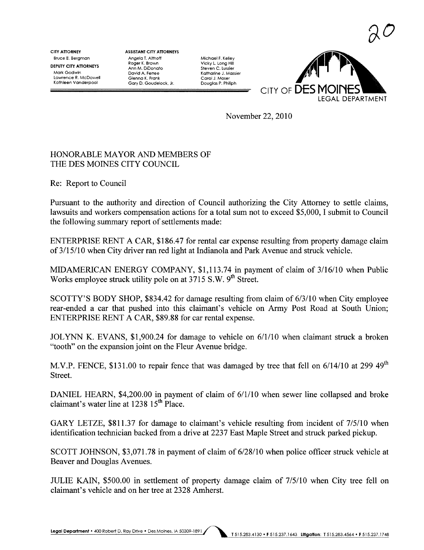$\partial U$ 

**CITY ATTORNEY** Bruce E. Bergman DEPUTY CITY ATTORNEYS Mark Godwin lawrence R. McDowell Kathleen Vanderpool

ASSISTANT CITY AnORNEYS Angelo T. Althoff Roger K. Brown Ann M. DiDonato David A. Ferree Glenna K. Fronk Gary D. Goudelock, Jr.

Michael F. Kelley Vicky L. long Hil Steven C. Lussier Katharine J. Mossier Carol J. Moser Douglas P. Philph



November 22,2010

## HONORABLE MA YOR AND MEMBERS OF THE DES MOINES CITY COUNCIL

Re: Report to Council

Pursuant to the authority and direction of Council authorizing the City Attorney to settle claims, lawsuits and workers compensation actions for a total sum not to exceed \$5,000, I submit to Council the following summary report of settlements made:

ENTERPRISE RENT A CAR, \$186.47 for rental car expense resulting from property damage claim of 3/15/10 when City driver ran red light at Indianola and Park Avenue and struck vehicle.

MIDAMERICAN ENERGY COMPANY, \$1,113.74 in payment of claim of 3/16/10 when Public Works employee struck utility pole on at 3715 S.W. 9<sup>th</sup> Street.

SCOTTY'S BODY SHOP, \$834.42 for damage resulting from claim of 6/3/10 when City employee rear-ended a car that pushed into this claimant's vehicle on Army Post Road at South Union; ENTERPRISE RENT A CAR, \$89.88 for car rental expense.

JOL YN K. EVANS, \$1,900.24 for damage to vehicle on 6/1/10 when claimant struck a broken "tooth" on the expansion joint on the Fleur Avenue bridge.

M.V.P. FENCE, \$131.00 to repair fence that was damaged by tree that fell on 6/14/10 at 299 49<sup>th</sup> Street.

DANIEL HEARN, \$4,200.00 in payment of claim of 6/1/10 when sewer line collapsed and broke claimant's water line at  $1238$   $15<sup>th</sup>$  Place.

GARY LETZE, \$811.37 for damage to claimant's vehicle resulting from incident of 7/5/10 when identification technician backed from a drive at 2237 East Maple Street and struck parked pickup.

SCOTT JOHNSON, \$3,071.78 in payment of claim of  $6/28/10$  when police officer struck vehicle at Beaver and Douglas Avenues.

JULIE KAIN, \$500.00 in settlement of property damage claim of 7/5/10 when City tree fell on claimant's vehicle and on her tree at 2328 Amherst.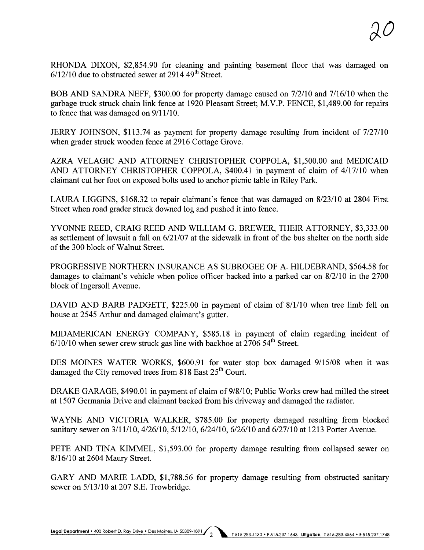RHONDA DIXON, \$2,854.90 for cleaning and painting basement floor that was damaged on  $6/12/10$  due to obstructed sewer at 2914 49<sup>th</sup> Street.

BOB AND SANDRA NEFF, \$300.00 for property damage caused on 7/2/10 and 7/16110 when the garbage truck struck chain link fence at 1920 Pleasant Street; M.V.P. FENCE, \$1,489.00 for repairs to fence that was damaged on  $9/11/10$ .

JERRY JOHNSON, \$113.74 as payment for property damage resulting from incident of 7/27/10 when grader struck wooden fence at 2916 Cottage Grove.

AZRA VELAGIC AND ATTORNEY CHRISTOPHER COPPOLA, \$1,500.00 and MEDICAID AND ATTORNEY CHRISTOPHER COPPOLA, \$400.41 in payment of claim of 4/17/10 when claimant cut her foot on exposed bolts used to anchor picnic table in Riley Park.

LAURA LIGGINS, \$168.32 to repair claimant's fence that was damaged on 8/23/10 at 2804 First Street when road grader struck downed log and pushed it into fence.

YVONNE REED, CRAIG REED AND WILLIAM G. BREWER, THEIR ATTORNEY, \$3,333.00 as settlement of lawsuit a fall on 6/21/07 at the sidewalk in front of the bus shelter on the north side of the 300 block of Walnut Street.

PROGRESSIVE NORTHERN INSURANCE AS SUBROGEE OF A. HILDEBRAND, \$564.58 for damages to claimant's vehicle when police officer backed into a parked car on 8/2/10 in the 2700 block of Ingersoll Avenue.

DAVID AND BARB PADGETT, \$225.00 in payment of claim of 8/1/10 when tree limb fell on house at 2545 Arthur and damaged claimant's gutter.

MIDAMERICAN ENERGY COMPANY, \$585.18 in payment of claim regarding incident of  $6/10/10$  when sewer crew struck gas line with backhoe at  $2706$  54<sup>th</sup> Street.

DES MOINES WATER WORKS, \$600.91 for water stop box damaged 9/15/08 when it was damaged the City removed trees from 818 East  $25<sup>th</sup>$  Court.

DRAKE GARAGE, \$490.01 in payment of claim of 9/8/10; Public Works crew had miled the street at 1507 Germania Drive and claimant backed from his driveway and damaged the radiator.

WAYNE AND VICTORIA WALKER, \$785.00 for property damaged resulting from blocked sanitary sewer on 3/11/10, 4/26/10, 5/12/10, 6/24/10, 6/26/10 and 6/27/10 at 1213 Porter Avenue.

PETE AND TINA KIMMEL, \$1,593.00 for property damage resulting from collapsed sewer on 8/16/10 at 2604 Maury Street.

GARY AND MARIE LADD, \$1,788.56 for property damage resulting from obstructed sanitary sewer on 5/13/10 at 207 S.E. Trowbridge.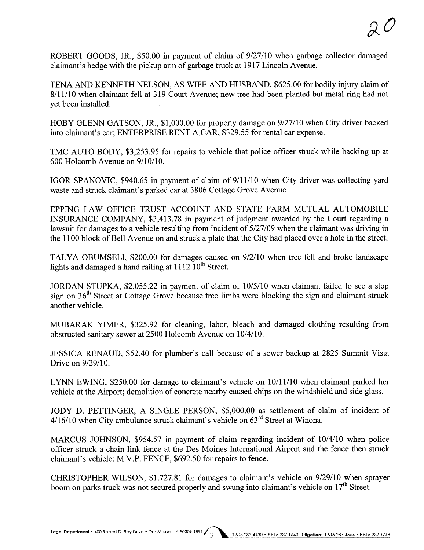ROBERT GOODS, JR., \$50.00 in payment of claim of 9/27/10 when garbage collector damaged claimant's hedge with the pickup arm of garbage truck at 1917 Lincoln Avenue.

TENA AND KENNETH NELSON, AS WIFE AND HUSBAND, \$625.00 for bodily injury claim of 8/11/10 when claimant fell at 319 Court Avenue; new tree had been planted but metal ring had not yet been installed.

HOBY GLENN GATSON, JR., \$1,000.00 for property damage on 9/27/10 when City driver backed into claimant's car; ENTERPRISE RENT A CAR, \$329.55 for rental car expense.

TMC AUTO BODY, \$3,253.95 for repairs to vehicle that police officer struck while backing up at 600 Holcomb Avenue on 9/1 0/1 O.

IGOR SPANOVIC, \$940.65 in payment of claim of  $9/11/10$  when City driver was collecting yard waste and struck claimant's parked car at 3806 Cottage Grove Avenue.

EPPING LAW OFFICE TRUST ACCOUNT AND STATE FARM MUTUAL AUTOMOBILE INSURANCE COMPANY, \$3,413.78 in payment of judgment awarded by the Court regarding a lawsuit for damages to a vehicle resulting from incident of 5/27/09 when the claimant was driving in the 1100 block of Bell Avenue on and struck a plate that the City had placed over a hole in the street.

TALYA OBUMSELI, \$200.00 for damages caused on 9/2110 when tree fell and broke landscape lights and damaged a hand railing at  $1112 \overline{10^{th}}$  Street.

JORDAN STUPKA, \$2,055.22 in payment of claim of 10/5/10 when claimant failed to see a stop sign on  $36<sup>th</sup>$  Street at Cottage Grove because tree limbs were blocking the sign and claimant struck another vehicle.

MUBARAK YIMER, \$325.92 for cleaning, labor, bleach and damaged clothing resulting from obstructed sanitary sewer at 2500 Holcomb Avenue on 10/4/10.

JESSICA RENAUD, \$52.40 for plumber's call because of a sewer backup at 2825 Summit Vista Drive on 9/29/10.

LYNN EWING, \$250.00 for damage to claimant's vehicle on  $10/11/10$  when claimant parked her vehicle at the Airport; demolition of concrete nearby caused chips on the windshield and side glass.

JODY D. PETTINGER, A SINGLE PERSON, \$5,000.00 as settlement of claim of incident of  $4/16/10$  when City ambulance struck claimant's vehicle on  $63<sup>rd</sup>$  Street at Winona.

MARCUS JOHNSON, \$954.57 in payment of claim regarding incident of 10/4/10 when police officer struck a chain link fence at the Des Moines International Airport and the fence then struck claimant's vehicle; M.V.P. FENCE, \$692.50 for repairs to fence.

CHRISTOPHER WILSON, \$1,727.81 for damages to claimant's vehicle on 9/29/10 when sprayer boom on parks truck was not secured properly and swung into claimant's vehicle on  $17<sup>th</sup>$  Street.